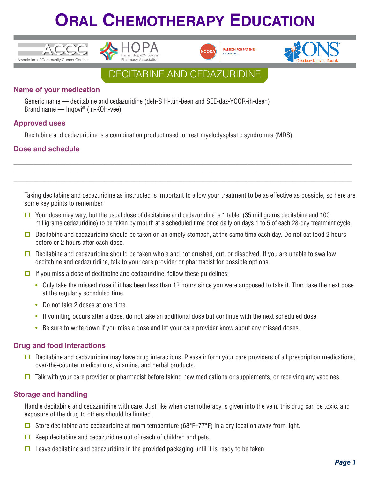







### DECITABINE AND CEDAZURIDINE

### **Name of your medication**

Generic name — decitabine and cedazuridine (deh-SIH-tuh-been and SEE-daz-YOOR-ih-deen) Brand name — Inqovi® (in-KOH-vee)

#### **Approved uses**

Decitabine and cedazuridine is a combination product used to treat myelodysplastic syndromes (MDS).

### **Dose and schedule**

Taking decitabine and cedazuridine as instructed is important to allow your treatment to be as effective as possible, so here are some key points to remember.

**\_\_\_\_\_\_\_\_\_\_\_\_\_\_\_\_\_\_\_\_\_\_\_\_\_\_\_\_\_\_\_\_\_\_\_\_\_\_\_\_\_\_\_\_\_\_\_\_\_\_\_\_\_\_\_\_\_\_\_\_\_\_\_\_\_\_\_\_\_\_\_\_\_\_\_\_\_\_\_\_\_\_\_\_ \_\_\_\_\_\_\_\_\_\_\_\_\_\_\_\_\_\_\_\_\_\_\_\_\_\_\_\_\_\_\_\_\_\_\_\_\_\_\_\_\_\_\_\_\_\_\_\_\_\_\_\_\_\_\_\_\_\_\_\_\_\_\_\_\_\_\_\_\_\_\_\_\_\_\_\_\_\_\_\_\_\_\_\_ \_\_\_\_\_\_\_\_\_\_\_\_\_\_\_\_\_\_\_\_\_\_\_\_\_\_\_\_\_\_\_\_\_\_\_\_\_\_\_\_\_\_\_\_\_\_\_\_\_\_\_\_\_\_\_\_\_\_\_\_\_\_\_\_\_\_\_\_\_\_\_\_\_\_\_\_\_\_\_\_\_\_\_\_**

- $\Box$  Your dose may vary, but the usual dose of decitabine and cedazuridine is 1 tablet (35 milligrams decitabine and 100 milligrams cedazuridine) to be taken by mouth at a scheduled time once daily on days 1 to 5 of each 28-day treatment cycle.
- Decitabine and cedazuridine should be taken on an empty stomach, at the same time each day. Do not eat food 2 hours before or 2 hours after each dose.
- Decitabine and cedazuridine should be taken whole and not crushed, cut, or dissolved. If you are unable to swallow decitabine and cedazuridine, talk to your care provider or pharmacist for possible options.
- $\Box$  If you miss a dose of decitabine and cedazuridine, follow these guidelines:
	- Only take the missed dose if it has been less than 12 hours since you were supposed to take it. Then take the next dose at the regularly scheduled time.
	- Do not take 2 doses at one time.
	- If vomiting occurs after a dose, do not take an additional dose but continue with the next scheduled dose.
	- Be sure to write down if you miss a dose and let your care provider know about any missed doses.

#### **Drug and food interactions**

- Decitabine and cedazuridine may have drug interactions. Please inform your care providers of all prescription medications, over-the-counter medications, vitamins, and herbal products.
- $\Box$  Talk with your care provider or pharmacist before taking new medications or supplements, or receiving any vaccines.

#### **Storage and handling**

Handle decitabine and cedazuridine with care. Just like when chemotherapy is given into the vein, this drug can be toxic, and exposure of the drug to others should be limited.

- G Store decitabine and cedazuridine at room temperature (68°F–77°F) in a dry location away from light.
- $\Box$  Keep decitabine and cedazuridine out of reach of children and pets.
- $\Box$  Leave decitabine and cedazuridine in the provided packaging until it is ready to be taken.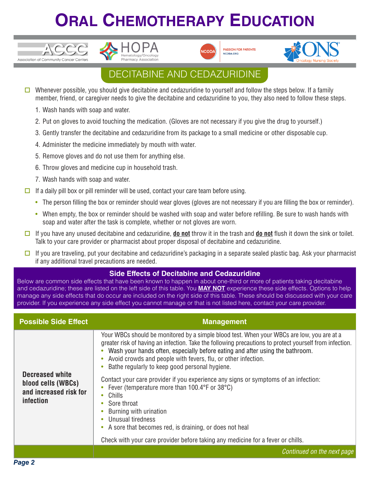



**PASSION FOR PATIENTS** NCODA, ORG



## DECITABINE AND CEDAZURIDINE

- Whenever possible, you should give decitabine and cedazuridine to yourself and follow the steps below. If a family member, friend, or caregiver needs to give the decitabine and cedazuridine to you, they also need to follow these steps.
	- 1. Wash hands with soap and water.

ACCC

Association of Community Cancer Centers

- 2. Put on gloves to avoid touching the medication. (Gloves are not necessary if you give the drug to yourself.)
- 3. Gently transfer the decitabine and cedazuridine from its package to a small medicine or other disposable cup.
- 4. Administer the medicine immediately by mouth with water.
- 5. Remove gloves and do not use them for anything else.
- 6. Throw gloves and medicine cup in household trash.
- 7. Wash hands with soap and water.
- $\Box$  If a daily pill box or pill reminder will be used, contact your care team before using.
	- The person filling the box or reminder should wear gloves (gloves are not necessary if you are filling the box or reminder).
	- When empty, the box or reminder should be washed with soap and water before refilling. Be sure to wash hands with soap and water after the task is complete, whether or not gloves are worn.
- $\Box$  If you have any unused decitabine and cedazuridine, **do not** throw it in the trash and **do not** flush it down the sink or toilet. Talk to your care provider or pharmacist about proper disposal of decitabine and cedazuridine.
- $\Box$  If you are traveling, put your decitabine and cedazuridine's packaging in a separate sealed plastic bag. Ask your pharmacist if any additional travel precautions are needed.

#### **Side Effects of Decitabine and Cedazuridine**

Below are common side effects that have been known to happen in about one-third or more of patients taking decitabine and cedazuridine; these are listed on the left side of this table. You **MAY NOT** experience these side effects. Options to help manage any side effects that do occur are included on the right side of this table. These should be discussed with your care provider. If you experience any side effect you cannot manage or that is not listed here, contact your care provider.

| <b>Possible Side Effect</b>                                                                | <b>Management</b>                                                                                                                                                                                                                                                                                                                                                                                                                                                                                                                                                                                                           |
|--------------------------------------------------------------------------------------------|-----------------------------------------------------------------------------------------------------------------------------------------------------------------------------------------------------------------------------------------------------------------------------------------------------------------------------------------------------------------------------------------------------------------------------------------------------------------------------------------------------------------------------------------------------------------------------------------------------------------------------|
| <b>Decreased white</b><br>blood cells (WBCs)<br>and increased risk for<br><i>infection</i> | Your WBCs should be monitored by a simple blood test. When your WBCs are low, you are at a<br>greater risk of having an infection. Take the following precautions to protect yourself from infection.<br>Wash your hands often, especially before eating and after using the bathroom.<br>• Avoid crowds and people with fevers, flu, or other infection.<br>Bathe regularly to keep good personal hygiene.<br>Contact your care provider if you experience any signs or symptoms of an infection:<br>Fever (temperature more than 100.4°F or 38°C)<br>Chills<br>Sore throat<br>Burning with urination<br>Unusual tiredness |
|                                                                                            | • A sore that becomes red, is draining, or does not heal                                                                                                                                                                                                                                                                                                                                                                                                                                                                                                                                                                    |
|                                                                                            | Check with your care provider before taking any medicine for a fever or chills.                                                                                                                                                                                                                                                                                                                                                                                                                                                                                                                                             |
|                                                                                            | Continued on the next page                                                                                                                                                                                                                                                                                                                                                                                                                                                                                                                                                                                                  |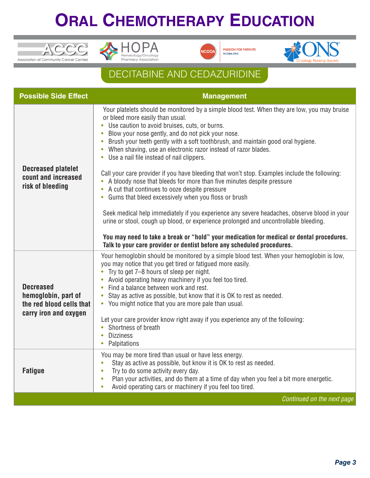





**\*ONS** 

## DECITABINE AND CEDAZURIDINE

| <b>Possible Side Effect</b>                                                                  | <b>Management</b>                                                                                                                                                                                                                                                                                                                                                                                                                                                                                                                                                                                                                                                                                                                                                                                                                                                                                                                                                             |
|----------------------------------------------------------------------------------------------|-------------------------------------------------------------------------------------------------------------------------------------------------------------------------------------------------------------------------------------------------------------------------------------------------------------------------------------------------------------------------------------------------------------------------------------------------------------------------------------------------------------------------------------------------------------------------------------------------------------------------------------------------------------------------------------------------------------------------------------------------------------------------------------------------------------------------------------------------------------------------------------------------------------------------------------------------------------------------------|
| <b>Decreased platelet</b><br>count and increased<br>risk of bleeding                         | Your platelets should be monitored by a simple blood test. When they are low, you may bruise<br>or bleed more easily than usual.<br>• Use caution to avoid bruises, cuts, or burns.<br>Blow your nose gently, and do not pick your nose.<br>$\bullet$<br>Brush your teeth gently with a soft toothbrush, and maintain good oral hygiene.<br>$\bullet$<br>When shaving, use an electronic razor instead of razor blades.<br>$\bullet$<br>Use a nail file instead of nail clippers.<br>$\bullet$<br>Call your care provider if you have bleeding that won't stop. Examples include the following:<br>• A bloody nose that bleeds for more than five minutes despite pressure<br>• A cut that continues to ooze despite pressure<br>• Gums that bleed excessively when you floss or brush<br>Seek medical help immediately if you experience any severe headaches, observe blood in your<br>urine or stool, cough up blood, or experience prolonged and uncontrollable bleeding. |
|                                                                                              | You may need to take a break or "hold" your medication for medical or dental procedures.<br>Talk to your care provider or dentist before any scheduled procedures.                                                                                                                                                                                                                                                                                                                                                                                                                                                                                                                                                                                                                                                                                                                                                                                                            |
| <b>Decreased</b><br>hemoglobin, part of<br>the red blood cells that<br>carry iron and oxygen | Your hemoglobin should be monitored by a simple blood test. When your hemoglobin is low,<br>you may notice that you get tired or fatigued more easily.<br>Try to get 7–8 hours of sleep per night.<br>Avoid operating heavy machinery if you feel too tired.<br>$\bullet$<br>Find a balance between work and rest.<br>$\bullet$<br>Stay as active as possible, but know that it is OK to rest as needed.<br>$\bullet$<br>• You might notice that you are more pale than usual.<br>Let your care provider know right away if you experience any of the following:<br>Shortness of breath<br>$\bullet$<br><b>Dizziness</b><br>Palpitations<br>٠                                                                                                                                                                                                                                                                                                                                 |
| <b>Fatique</b>                                                                               | You may be more tired than usual or have less energy.<br>Stay as active as possible, but know it is OK to rest as needed.<br>$\bullet$<br>Try to do some activity every day.<br>$\bullet$<br>Plan your activities, and do them at a time of day when you feel a bit more energetic.<br>$\bullet$<br>Avoid operating cars or machinery if you feel too tired.<br>$\bullet$                                                                                                                                                                                                                                                                                                                                                                                                                                                                                                                                                                                                     |
|                                                                                              | Continued on the next page                                                                                                                                                                                                                                                                                                                                                                                                                                                                                                                                                                                                                                                                                                                                                                                                                                                                                                                                                    |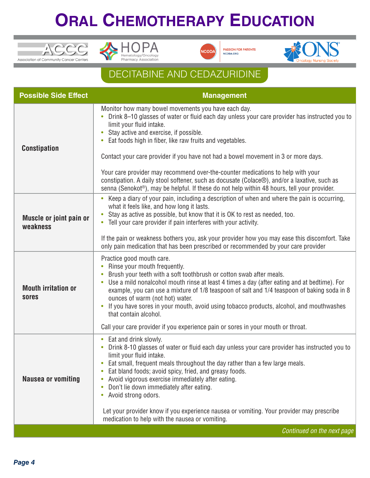







## DECITABINE AND CEDAZURIDINE

| <b>Possible Side Effect</b>         | <b>Management</b>                                                                                                                                                                                                                                                                                                                                                                                                                                                                                                                                                                                                                                                                        |
|-------------------------------------|------------------------------------------------------------------------------------------------------------------------------------------------------------------------------------------------------------------------------------------------------------------------------------------------------------------------------------------------------------------------------------------------------------------------------------------------------------------------------------------------------------------------------------------------------------------------------------------------------------------------------------------------------------------------------------------|
| <b>Constipation</b>                 | Monitor how many bowel movements you have each day.<br>Drink 8-10 glasses of water or fluid each day unless your care provider has instructed you to<br>limit your fluid intake.<br>Stay active and exercise, if possible.<br>$\bullet$<br>Eat foods high in fiber, like raw fruits and vegetables.<br>$\bullet$<br>Contact your care provider if you have not had a bowel movement in 3 or more days.<br>Your care provider may recommend over-the-counter medications to help with your<br>constipation. A daily stool softener, such as docusate (Colace®), and/or a laxative, such as<br>senna (Senokot®), may be helpful. If these do not help within 48 hours, tell your provider. |
| Muscle or joint pain or<br>weakness | Keep a diary of your pain, including a description of when and where the pain is occurring,<br>what it feels like, and how long it lasts.<br>Stay as active as possible, but know that it is OK to rest as needed, too.<br>Tell your care provider if pain interferes with your activity.<br>$\bullet$<br>If the pain or weakness bothers you, ask your provider how you may ease this discomfort. Take<br>only pain medication that has been prescribed or recommended by your care provider                                                                                                                                                                                            |
| <b>Mouth irritation or</b><br>sores | Practice good mouth care.<br>Rinse your mouth frequently.<br>Brush your teeth with a soft toothbrush or cotton swab after meals.<br>Use a mild nonalcohol mouth rinse at least 4 times a day (after eating and at bedtime). For<br>example, you can use a mixture of 1/8 teaspoon of salt and 1/4 teaspoon of baking soda in 8<br>ounces of warm (not hot) water.<br>If you have sores in your mouth, avoid using tobacco products, alcohol, and mouthwashes<br>that contain alcohol.<br>Call your care provider if you experience pain or sores in your mouth or throat.                                                                                                                |
| <b>Nausea or vomiting</b>           | Eat and drink slowly.<br>Drink 8-10 glasses of water or fluid each day unless your care provider has instructed you to<br>$\bullet$<br>limit your fluid intake.<br>Eat small, frequent meals throughout the day rather than a few large meals.<br>۰<br>Eat bland foods; avoid spicy, fried, and greasy foods.<br>۰<br>Avoid vigorous exercise immediately after eating.<br>۰<br>Don't lie down immediately after eating.<br>۰<br>Avoid strong odors.<br>$\bullet$                                                                                                                                                                                                                        |
|                                     | Let your provider know if you experience nausea or vomiting. Your provider may prescribe<br>medication to help with the nausea or vomiting.                                                                                                                                                                                                                                                                                                                                                                                                                                                                                                                                              |
|                                     | Continued on the next page                                                                                                                                                                                                                                                                                                                                                                                                                                                                                                                                                                                                                                                               |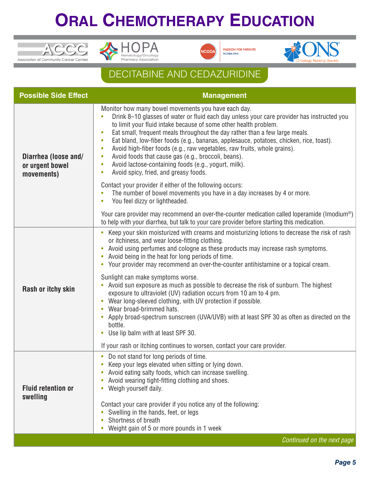





**PASSION FOR PATIENTS** 



## DECITABINE AND CEDAZURIDINE

| <b>Possible Side Effect</b>                           | <b>Management</b>                                                                                                                                                                                                                                                                                                                                                                                                                                                                                                                                                                                                                                                                                                                                                                                                                                                                                                                                                              |
|-------------------------------------------------------|--------------------------------------------------------------------------------------------------------------------------------------------------------------------------------------------------------------------------------------------------------------------------------------------------------------------------------------------------------------------------------------------------------------------------------------------------------------------------------------------------------------------------------------------------------------------------------------------------------------------------------------------------------------------------------------------------------------------------------------------------------------------------------------------------------------------------------------------------------------------------------------------------------------------------------------------------------------------------------|
| Diarrhea (loose and/<br>or urgent bowel<br>movements) | Monitor how many bowel movements you have each day.<br>Drink 8-10 glasses of water or fluid each day unless your care provider has instructed you<br>$\bullet$<br>to limit your fluid intake because of some other health problem.<br>Eat small, frequent meals throughout the day rather than a few large meals.<br>$\bullet$<br>Eat bland, low-fiber foods (e.g., bananas, applesauce, potatoes, chicken, rice, toast).<br>$\bullet$<br>Avoid high-fiber foods (e.g., raw vegetables, raw fruits, whole grains).<br>$\bullet$<br>Avoid foods that cause gas (e.g., broccoli, beans).<br>$\bullet$<br>Avoid lactose-containing foods (e.g., yogurt, milk).<br>$\bullet$<br>Avoid spicy, fried, and greasy foods.<br>$\bullet$                                                                                                                                                                                                                                                 |
|                                                       | Contact your provider if either of the following occurs:<br>The number of bowel movements you have in a day increases by 4 or more.<br>$\bullet$<br>You feel dizzy or lightheaded.<br>$\bullet$                                                                                                                                                                                                                                                                                                                                                                                                                                                                                                                                                                                                                                                                                                                                                                                |
|                                                       | Your care provider may recommend an over-the-counter medication called loperamide (Imodium®)<br>to help with your diarrhea, but talk to your care provider before starting this medication.                                                                                                                                                                                                                                                                                                                                                                                                                                                                                                                                                                                                                                                                                                                                                                                    |
| Rash or itchy skin                                    | Keep your skin moisturized with creams and moisturizing lotions to decrease the risk of rash<br>$\bullet$<br>or itchiness, and wear loose-fitting clothing.<br>Avoid using perfumes and cologne as these products may increase rash symptoms.<br>Avoid being in the heat for long periods of time.<br>$\bullet$<br>Your provider may recommend an over-the-counter antihistamine or a topical cream.<br>$\bullet$<br>Sunlight can make symptoms worse.<br>Avoid sun exposure as much as possible to decrease the risk of sunburn. The highest<br>$\bullet$<br>exposure to ultraviolet (UV) radiation occurs from 10 am to 4 pm.<br>Wear long-sleeved clothing, with UV protection if possible.<br>Wear broad-brimmed hats.<br>Apply broad-spectrum sunscreen (UVA/UVB) with at least SPF 30 as often as directed on the<br>$\bullet$<br>bottle.<br>Use lip balm with at least SPF 30.<br>$\bullet$<br>If your rash or itching continues to worsen, contact your care provider. |
| <b>Fluid retention or</b><br>swelling                 | Do not stand for long periods of time.<br>$\bullet$<br>Keep your legs elevated when sitting or lying down.<br>Avoid eating salty foods, which can increase swelling.<br>Avoid wearing tight-fitting clothing and shoes.<br>$\bullet$<br>Weigh yourself daily.<br>Contact your care provider if you notice any of the following:<br>Swelling in the hands, feet, or legs<br>Shortness of breath<br>۰<br>Weight gain of 5 or more pounds in 1 week                                                                                                                                                                                                                                                                                                                                                                                                                                                                                                                               |
|                                                       | Continued on the next page                                                                                                                                                                                                                                                                                                                                                                                                                                                                                                                                                                                                                                                                                                                                                                                                                                                                                                                                                     |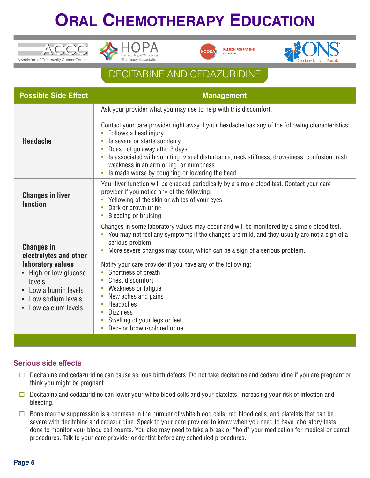





## DECITABINE AND CEDAZURIDINE

| <b>Possible Side Effect</b>                                                                                                                                        | <b>Management</b>                                                                                                                                                                                                                                                                                                                                                                                                                                                                                                                                                                                                  |
|--------------------------------------------------------------------------------------------------------------------------------------------------------------------|--------------------------------------------------------------------------------------------------------------------------------------------------------------------------------------------------------------------------------------------------------------------------------------------------------------------------------------------------------------------------------------------------------------------------------------------------------------------------------------------------------------------------------------------------------------------------------------------------------------------|
| <b>Headache</b>                                                                                                                                                    | Ask your provider what you may use to help with this discomfort.<br>Contact your care provider right away if your headache has any of the following characteristics:<br>Follows a head injury<br>Is severe or starts suddenly<br>Does not go away after 3 days<br>Is associated with vomiting, visual disturbance, neck stiffness, drowsiness, confusion, rash,<br>weakness in an arm or leg, or numbness<br>Is made worse by coughing or lowering the head<br>$\bullet$                                                                                                                                           |
| <b>Changes in liver</b><br>function                                                                                                                                | Your liver function will be checked periodically by a simple blood test. Contact your care<br>provider if you notice any of the following:<br>Yellowing of the skin or whites of your eyes<br>Dark or brown urine<br>Bleeding or bruising                                                                                                                                                                                                                                                                                                                                                                          |
| <b>Changes in</b><br>electrolytes and other<br>laboratory values<br>High or low glucose<br>levels<br>Low albumin levels<br>Low sodium levels<br>Low calcium levels | Changes in some laboratory values may occur and will be monitored by a simple blood test.<br>You may not feel any symptoms if the changes are mild, and they usually are not a sign of a<br>serious problem.<br>More severe changes may occur, which can be a sign of a serious problem.<br>Notify your care provider if you have any of the following:<br>Shortness of breath<br>$\bullet$<br>Chest discomfort<br>$\bullet$<br>Weakness or fatigue<br>New aches and pains<br>$\bullet$<br>Headaches<br>$\bullet$<br><b>Dizziness</b><br>Swelling of your legs or feet<br>$\bullet$<br>Red- or brown-colored urine |

### **Serious side effects**

- $\square$  Decitabine and cedazuridine can cause serious birth defects. Do not take decitabine and cedazuridine if you are pregnant or think you might be pregnant.
- $\Box$  Decitabine and cedazuridine can lower your white blood cells and your platelets, increasing your risk of infection and bleeding.
- $\square$  Bone marrow suppression is a decrease in the number of white blood cells, red blood cells, and platelets that can be severe with decitabine and cedazuridine. Speak to your care provider to know when you need to have laboratory tests done to monitor your blood cell counts. You also may need to take a break or "hold" your medication for medical or dental procedures. Talk to your care provider or dentist before any scheduled procedures.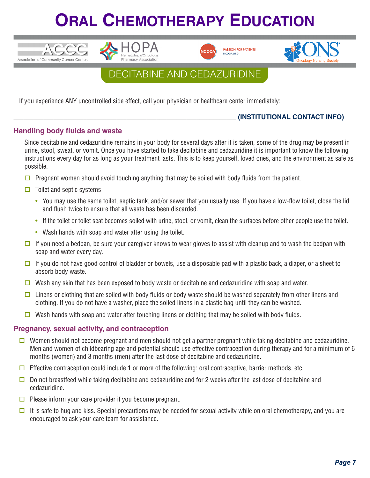







## DECITABINE AND CEDAZURIDINE

If you experience ANY uncontrolled side effect, call your physician or healthcare center immediately:

### \_\_\_\_\_\_\_\_\_\_\_\_\_\_\_\_\_\_\_\_\_\_\_\_\_\_\_\_\_\_\_\_\_\_\_\_\_\_\_\_\_\_\_\_\_\_\_\_\_\_\_\_\_\_\_\_\_\_\_\_\_\_\_\_\_\_\_ **(INSTITUTIONAL CONTACT INFO)**

### **Handling body fluids and waste**

Since decitabine and cedazuridine remains in your body for several days after it is taken, some of the drug may be present in urine, stool, sweat, or vomit. Once you have started to take decitabine and cedazuridine it is important to know the following instructions every day for as long as your treatment lasts. This is to keep yourself, loved ones, and the environment as safe as possible.

- **D** Pregnant women should avoid touching anything that may be soiled with body fluids from the patient.
- $\Box$  Toilet and septic systems
	- You may use the same toilet, septic tank, and/or sewer that you usually use. If you have a low-flow toilet, close the lid and flush twice to ensure that all waste has been discarded.
	- If the toilet or toilet seat becomes soiled with urine, stool, or vomit, clean the surfaces before other people use the toilet.
	- Wash hands with soap and water after using the toilet.
- $\Box$  If you need a bedpan, be sure your caregiver knows to wear gloves to assist with cleanup and to wash the bedpan with soap and water every day.
- $\Box$  If you do not have good control of bladder or bowels, use a disposable pad with a plastic back, a diaper, or a sheet to absorb body waste.
- $\Box$  Wash any skin that has been exposed to body waste or decitabine and cedazuridine with soap and water.
- $\Box$  Linens or clothing that are soiled with body fluids or body waste should be washed separately from other linens and clothing. If you do not have a washer, place the soiled linens in a plastic bag until they can be washed.
- Wash hands with soap and water after touching linens or clothing that may be soiled with body fluids.

#### **Pregnancy, sexual activity, and contraception**

- **O** Women should not become pregnant and men should not get a partner pregnant while taking decitabine and cedazuridine. Men and women of childbearing age and potential should use effective contraception during therapy and for a minimum of 6 months (women) and 3 months (men) after the last dose of decitabine and cedazuridine.
- $\Box$  Effective contraception could include 1 or more of the following: oral contraceptive, barrier methods, etc.
- Do not breastfeed while taking decitabine and cedazuridine and for 2 weeks after the last dose of decitabine and cedazuridine.
- $\Box$  Please inform your care provider if you become pregnant.
- $\Box$  It is safe to hug and kiss. Special precautions may be needed for sexual activity while on oral chemotherapy, and you are encouraged to ask your care team for assistance.